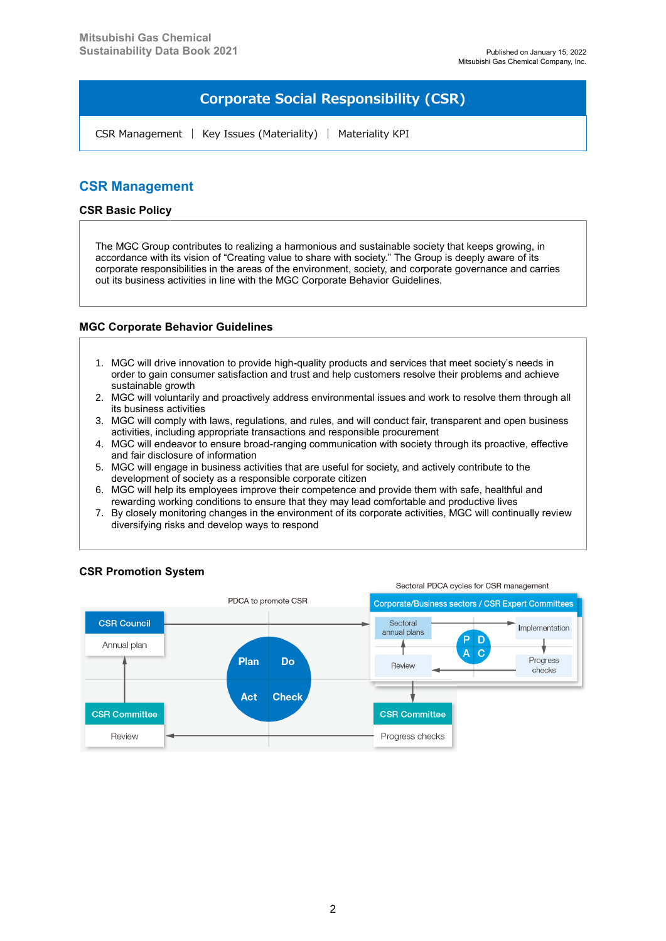# **Corporate Social Responsibility (CSR)**

CSR Management | Key Issues (Materiality) | Materiality KPI

## **CSR Management**

#### **CSR Basic Policy**

The MGC Group contributes to realizing a harmonious and sustainable society that keeps growing, in accordance with its vision of "Creating value to share with society." The Group is deeply aware of its corporate responsibilities in the areas of the environment, society, and corporate governance and carries out its business activities in line with the MGC Corporate Behavior Guidelines.

### **MGC Corporate Behavior Guidelines**

- 1. MGC will drive innovation to provide high-quality products and services that meet society's needs in order to gain consumer satisfaction and trust and help customers resolve their problems and achieve sustainable growth
- 2. MGC will voluntarily and proactively address environmental issues and work to resolve them through all its business activities
- 3. MGC will comply with laws, regulations, and rules, and will conduct fair, transparent and open business activities, including appropriate transactions and responsible procurement
- 4. MGC will endeavor to ensure broad-ranging communication with society through its proactive, effective and fair disclosure of information
- 5. MGC will engage in business activities that are useful for society, and actively contribute to the development of society as a responsible corporate citizen
- 6. MGC will help its employees improve their competence and provide them with safe, healthful and rewarding working conditions to ensure that they may lead comfortable and productive lives
- 7. By closely monitoring changes in the environment of its corporate activities, MGC will continually review diversifying risks and develop ways to respond



### **CSR Promotion System**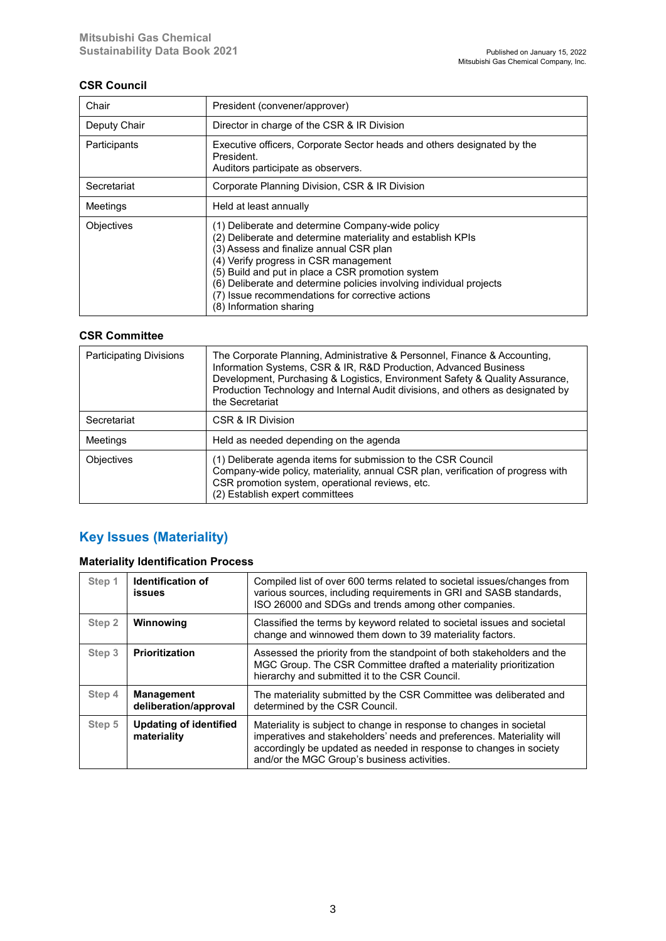### **CSR Council**

| Chair        | President (convener/approver)                                                                                                                                                                                                                                                                                                                                                                                  |  |  |  |
|--------------|----------------------------------------------------------------------------------------------------------------------------------------------------------------------------------------------------------------------------------------------------------------------------------------------------------------------------------------------------------------------------------------------------------------|--|--|--|
| Deputy Chair | Director in charge of the CSR & IR Division                                                                                                                                                                                                                                                                                                                                                                    |  |  |  |
| Participants | Executive officers, Corporate Sector heads and others designated by the<br>President.<br>Auditors participate as observers.                                                                                                                                                                                                                                                                                    |  |  |  |
| Secretariat  | Corporate Planning Division, CSR & IR Division                                                                                                                                                                                                                                                                                                                                                                 |  |  |  |
| Meetings     | Held at least annually                                                                                                                                                                                                                                                                                                                                                                                         |  |  |  |
| Objectives   | (1) Deliberate and determine Company-wide policy<br>(2) Deliberate and determine materiality and establish KPIs<br>(3) Assess and finalize annual CSR plan<br>(4) Verify progress in CSR management<br>(5) Build and put in place a CSR promotion system<br>(6) Deliberate and determine policies involving individual projects<br>(7) Issue recommendations for corrective actions<br>(8) Information sharing |  |  |  |

### **CSR Committee**

| <b>Participating Divisions</b> | The Corporate Planning, Administrative & Personnel, Finance & Accounting,<br>Information Systems, CSR & IR, R&D Production, Advanced Business<br>Development, Purchasing & Logistics, Environment Safety & Quality Assurance,<br>Production Technology and Internal Audit divisions, and others as designated by<br>the Secretariat |  |  |  |
|--------------------------------|-------------------------------------------------------------------------------------------------------------------------------------------------------------------------------------------------------------------------------------------------------------------------------------------------------------------------------------|--|--|--|
| Secretariat                    | CSR & IR Division                                                                                                                                                                                                                                                                                                                   |  |  |  |
| Meetings                       | Held as needed depending on the agenda                                                                                                                                                                                                                                                                                              |  |  |  |
| Objectives                     | (1) Deliberate agenda items for submission to the CSR Council<br>Company-wide policy, materiality, annual CSR plan, verification of progress with<br>CSR promotion system, operational reviews, etc.<br>(2) Establish expert committees                                                                                             |  |  |  |

# **Key Issues (Materiality)**

## **Materiality Identification Process**

| Step 1            | <b>Identification of</b><br>issues           | Compiled list of over 600 terms related to societal issues/changes from<br>various sources, including requirements in GRI and SASB standards,<br>ISO 26000 and SDGs and trends among other companies.                                                             |  |  |  |
|-------------------|----------------------------------------------|-------------------------------------------------------------------------------------------------------------------------------------------------------------------------------------------------------------------------------------------------------------------|--|--|--|
| Step <sub>2</sub> | Winnowing                                    | Classified the terms by keyword related to societal issues and societal<br>change and winnowed them down to 39 materiality factors.                                                                                                                               |  |  |  |
| Step 3            | <b>Prioritization</b>                        | Assessed the priority from the standpoint of both stakeholders and the<br>MGC Group. The CSR Committee drafted a materiality prioritization<br>hierarchy and submitted it to the CSR Council.                                                                     |  |  |  |
| Step 4            | <b>Management</b><br>deliberation/approval   | The materiality submitted by the CSR Committee was deliberated and<br>determined by the CSR Council.                                                                                                                                                              |  |  |  |
| Step 5            | <b>Updating of identified</b><br>materiality | Materiality is subject to change in response to changes in societal<br>imperatives and stakeholders' needs and preferences. Materiality will<br>accordingly be updated as needed in response to changes in society<br>and/or the MGC Group's business activities. |  |  |  |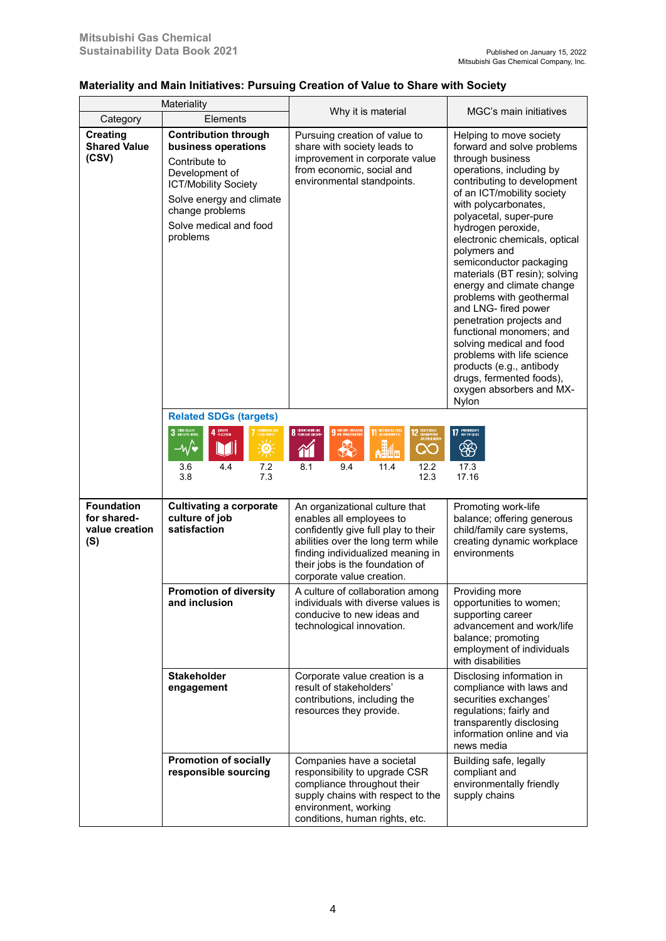## **Materiality and Main Initiatives: Pursuing Creation of Value to Share with Society**

| Materiality                                               |                                                                                                                                                                                                           | Why it is material                                                                                                                                                                                                                           | MGC's main initiatives                                                                                                                                                                                                                                                                                                                                                                                                                                                                                                                                                                                                                                  |
|-----------------------------------------------------------|-----------------------------------------------------------------------------------------------------------------------------------------------------------------------------------------------------------|----------------------------------------------------------------------------------------------------------------------------------------------------------------------------------------------------------------------------------------------|---------------------------------------------------------------------------------------------------------------------------------------------------------------------------------------------------------------------------------------------------------------------------------------------------------------------------------------------------------------------------------------------------------------------------------------------------------------------------------------------------------------------------------------------------------------------------------------------------------------------------------------------------------|
| Category                                                  | Elements                                                                                                                                                                                                  |                                                                                                                                                                                                                                              |                                                                                                                                                                                                                                                                                                                                                                                                                                                                                                                                                                                                                                                         |
| <b>Creating</b><br><b>Shared Value</b><br>(CSV)           | <b>Contribution through</b><br>business operations<br>Contribute to<br>Development of<br><b>ICT/Mobility Society</b><br>Solve energy and climate<br>change problems<br>Solve medical and food<br>problems | Pursuing creation of value to<br>share with society leads to<br>improvement in corporate value<br>from economic, social and<br>environmental standpoints.                                                                                    | Helping to move society<br>forward and solve problems<br>through business<br>operations, including by<br>contributing to development<br>of an ICT/mobility society<br>with polycarbonates,<br>polyacetal, super-pure<br>hydrogen peroxide,<br>electronic chemicals, optical<br>polymers and<br>semiconductor packaging<br>materials (BT resin); solving<br>energy and climate change<br>problems with geothermal<br>and LNG- fired power<br>penetration projects and<br>functional monomers; and<br>solving medical and food<br>problems with life science<br>products (e.g., antibody<br>drugs, fermented foods),<br>oxygen absorbers and MX-<br>Nylon |
|                                                           | <b>Related SDGs (targets)</b>                                                                                                                                                                             |                                                                                                                                                                                                                                              |                                                                                                                                                                                                                                                                                                                                                                                                                                                                                                                                                                                                                                                         |
|                                                           | 3 DOG HEALTH<br>4 BULLETIN<br>YFFORDABLE AND<br>Cifan Fnfroy<br>$-W$<br>M<br>Ŗ<br>4.4<br>7.2<br>3.6<br>7.3<br>3.8                                                                                         | 8 DECENT WORK AND<br>9 REUSERY, INVENTOR<br>11 SUSTAINABLE CITY<br><b>12</b> RESPONSIBLE<br><i>NO E</i> RMOUCHO<br>$\clubsuit$<br><b>AH4</b><br>QO<br>$\gamma$<br>9.4<br>12.2<br>8.1<br>11.4<br>12.3                                         | 17 PARTHERSHIPS<br>❀<br>17.3<br>17.16                                                                                                                                                                                                                                                                                                                                                                                                                                                                                                                                                                                                                   |
| <b>Foundation</b><br>for shared-<br>value creation<br>(S) | <b>Cultivating a corporate</b><br>culture of job<br>satisfaction                                                                                                                                          | An organizational culture that<br>enables all employees to<br>confidently give full play to their<br>abilities over the long term while<br>finding individualized meaning in<br>their jobs is the foundation of<br>corporate value creation. | Promoting work-life<br>balance; offering generous<br>child/family care systems,<br>creating dynamic workplace<br>environments                                                                                                                                                                                                                                                                                                                                                                                                                                                                                                                           |
|                                                           | <b>Promotion of diversity</b><br>and inclusion                                                                                                                                                            | A culture of collaboration among<br>individuals with diverse values is<br>conducive to new ideas and<br>technological innovation.                                                                                                            | Providing more<br>opportunities to women;<br>supporting career<br>advancement and work/life<br>balance; promoting<br>employment of individuals<br>with disabilities                                                                                                                                                                                                                                                                                                                                                                                                                                                                                     |
|                                                           | <b>Stakeholder</b><br>Corporate value creation is a<br>result of stakeholders'<br>engagement<br>contributions, including the<br>resources they provide.                                                   |                                                                                                                                                                                                                                              | Disclosing information in<br>compliance with laws and<br>securities exchanges'<br>regulations; fairly and<br>transparently disclosing<br>information online and via<br>news media                                                                                                                                                                                                                                                                                                                                                                                                                                                                       |
|                                                           | <b>Promotion of socially</b><br>responsible sourcing                                                                                                                                                      | Companies have a societal<br>responsibility to upgrade CSR<br>compliance throughout their<br>supply chains with respect to the<br>environment, working<br>conditions, human rights, etc.                                                     | Building safe, legally<br>compliant and<br>environmentally friendly<br>supply chains                                                                                                                                                                                                                                                                                                                                                                                                                                                                                                                                                                    |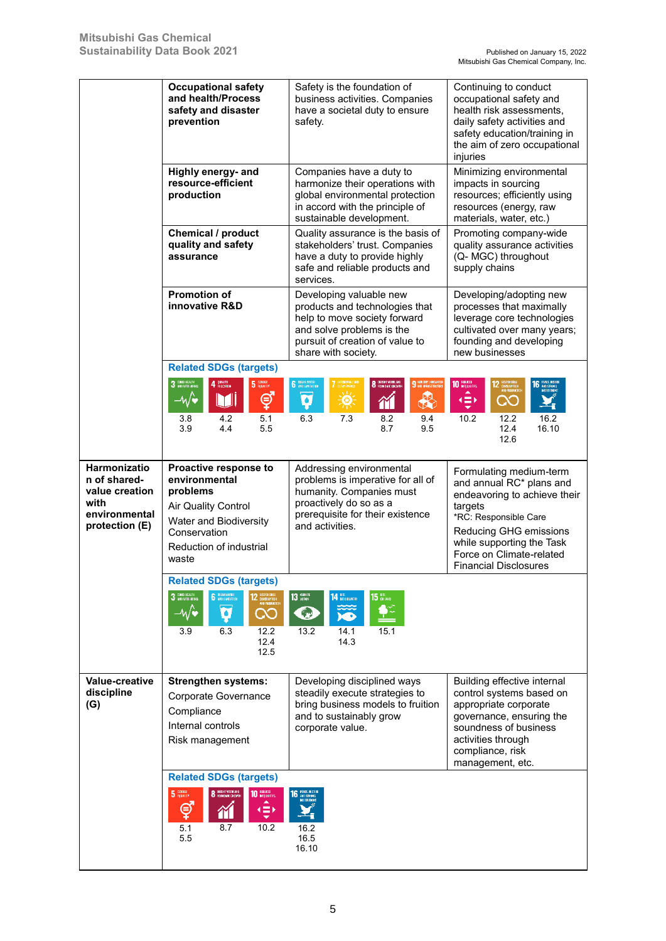|                                                                                           | <b>Occupational safety</b>                                                                                                                                        | Safety is the foundation of                                                                                                                                                      | Continuing to conduct                                                                                                                                                                                                                      |  |
|-------------------------------------------------------------------------------------------|-------------------------------------------------------------------------------------------------------------------------------------------------------------------|----------------------------------------------------------------------------------------------------------------------------------------------------------------------------------|--------------------------------------------------------------------------------------------------------------------------------------------------------------------------------------------------------------------------------------------|--|
|                                                                                           | and health/Process<br>safety and disaster<br>prevention                                                                                                           | business activities. Companies<br>have a societal duty to ensure<br>safety.                                                                                                      | occupational safety and<br>health risk assessments,<br>daily safety activities and<br>safety education/training in<br>the aim of zero occupational<br>injuries                                                                             |  |
|                                                                                           | Highly energy- and<br>resource-efficient<br>production                                                                                                            | Companies have a duty to<br>harmonize their operations with<br>global environmental protection<br>in accord with the principle of<br>sustainable development.                    | Minimizing environmental<br>impacts in sourcing<br>resources; efficiently using<br>resources (energy, raw<br>materials, water, etc.)                                                                                                       |  |
|                                                                                           | Chemical / product<br>quality and safety<br>assurance                                                                                                             | Quality assurance is the basis of<br>stakeholders' trust. Companies<br>have a duty to provide highly<br>safe and reliable products and<br>services.                              | Promoting company-wide<br>quality assurance activities<br>(Q- MGC) throughout<br>supply chains                                                                                                                                             |  |
|                                                                                           | <b>Promotion of</b><br>innovative R&D                                                                                                                             | Developing valuable new<br>products and technologies that<br>help to move society forward<br>and solve problems is the<br>pursuit of creation of value to<br>share with society. | Developing/adopting new<br>processes that maximally<br>leverage core technologies<br>cultivated over many years;<br>founding and developing<br>new businesses                                                                              |  |
|                                                                                           | <b>Related SDGs (targets)</b><br>3 COOD HEALTH<br>4 BULLETIN<br>5 GOODS<br>ේ<br>$-\sqrt{\bullet}$<br>W<br>4.2<br>5.1<br>3.8                                       | 6 DIENWATER<br><mark>ffordable.</mark> uko<br>I fan Fnfroy<br>8 ВЕБИТ МОРК АНВ<br>9 REUSTRY, MNEWATER<br>$\clubsuit$<br>à<br>्ळू<br>M<br>6.3<br>7.3<br>9.4<br>8.2                | 10 REDGED<br><b>16</b> PEACE AISTIE<br>Ç<br>$\infty$<br>16.2<br>10.2<br>12.2                                                                                                                                                               |  |
|                                                                                           | 3.9<br>4.4<br>5.5                                                                                                                                                 | 8.7<br>9.5                                                                                                                                                                       | 12.4<br>16.10<br>12.6                                                                                                                                                                                                                      |  |
| Harmonizatio<br>n of shared-<br>value creation<br>with<br>environmental<br>protection (E) | Proactive response to<br>environmental<br>problems<br><b>Air Quality Control</b><br>Water and Biodiversity<br>Conservation<br>Reduction of industrial<br>waste    | Addressing environmental<br>problems is imperative for all of<br>humanity. Companies must<br>proactively do so as a<br>prerequisite for their existence<br>and activities.       | Formulating medium-term<br>and annual RC* plans and<br>endeavoring to achieve their<br>targets<br>*RC: Responsible Care<br>Reducing GHG emissions<br>while supporting the Task<br>Force on Climate-related<br><b>Financial Disclosures</b> |  |
|                                                                                           | <b>Related SDGs (targets)</b><br>$3$ CDCD HEALTH<br><b>2</b> RESPONSIBLE<br>AND PRODUCTION<br>$-\sqrt{2}$<br>٠<br><u>00</u><br>6.3<br>12.2<br>3.9<br>12.4<br>12.5 | $13$ $\frac{\text{circular}}{\text{actain}}$<br>$15$ ON LARD<br>$\vert {\bf 4} \vert^{\rm{HE}}_{\rm{BROU}\,EMFR}$<br>Q<br>15.1<br>13.2<br>14.1<br>14.3                           |                                                                                                                                                                                                                                            |  |
| Value-creative<br>discipline<br>(G)                                                       | <b>Strengthen systems:</b><br>Corporate Governance<br>Compliance<br>Internal controls<br>Risk management                                                          | Developing disciplined ways<br>steadily execute strategies to<br>bring business models to fruition<br>and to sustainably grow<br>corporate value.                                | Building effective internal<br>control systems based on<br>appropriate corporate<br>governance, ensuring the<br>soundness of business<br>activities through<br>compliance, risk<br>management, etc.                                        |  |
|                                                                                           | <b>Related SDGs (targets)</b><br>5 GROSS<br>8 REGIST WORK AND<br>10 REDUCED<br>ේ<br>$\left( \equiv \right)$<br>5.1<br>8.7<br>10.2<br>5.5                          | PEACE JUSTICE<br>AND STRONG<br>16.2<br>16.5<br>16.10                                                                                                                             |                                                                                                                                                                                                                                            |  |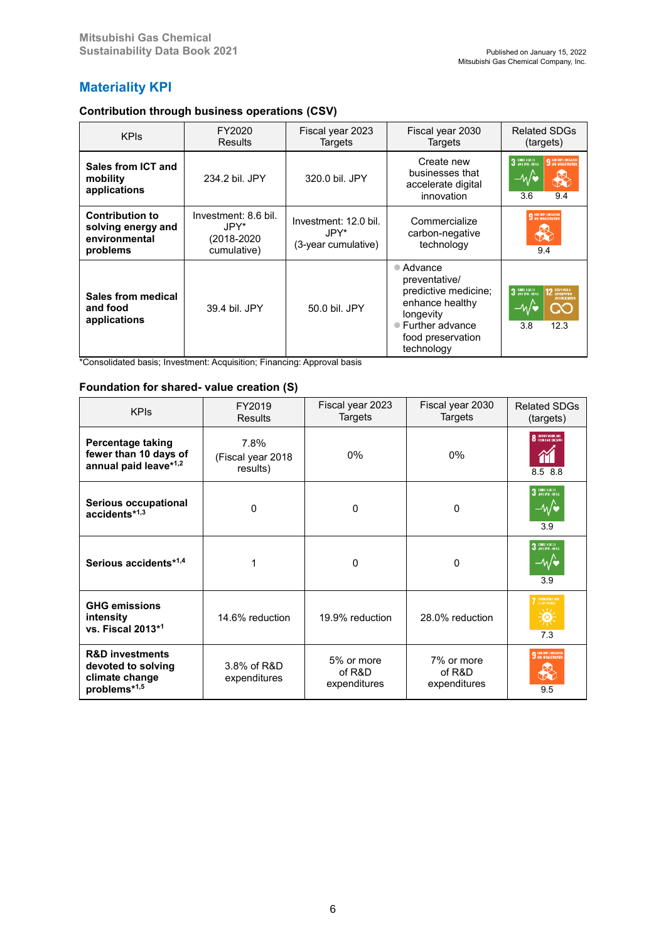## **Materiality KPI**

## **Contribution through business operations (CSV)**

| <b>KPIs</b>                                                               | FY2020<br>Results                                         | Fiscal year 2023<br>Targets                           | Fiscal year 2030<br>Targets                                                                                                                        | <b>Related SDGs</b><br>(targets)                                                       |  |
|---------------------------------------------------------------------------|-----------------------------------------------------------|-------------------------------------------------------|----------------------------------------------------------------------------------------------------------------------------------------------------|----------------------------------------------------------------------------------------|--|
| Sales from ICT and<br>mobility<br>applications                            | 234.2 bil. JPY                                            | 320.0 bil. JPY                                        | Create new<br>businesses that<br>accelerate digital<br>innovation                                                                                  | 3 DOD HEALTH<br>9 REUSTRY, INVOLVIDE<br>⊸∧⁄∖<br>3.6<br>9.4                             |  |
| <b>Contribution to</b><br>solving energy and<br>environmental<br>problems | Investment: 8.6 bil.<br>JPY*<br>(2018-2020<br>cumulative) | Investment: 12.0 bil.<br>JPY*.<br>(3-year cumulative) | Commercialize<br>carbon-negative<br>technology                                                                                                     | 9 <b>REUSTRY, IMEDIATION</b><br>9.4                                                    |  |
| Sales from medical<br>and food<br>applications                            | 39.4 bil. JPY                                             | 50.0 bil. JPY                                         | $\bullet$ Advance<br>preventative/<br>predictive medicine;<br>enhance healthy<br>longevity<br>● Further advance<br>food preservation<br>technology | 3 DRID HEALTH<br><b>12 RESPONSIBLE</b><br>AND PRODUCTION<br>–⁄м/♥<br>CC<br>12.3<br>3.8 |  |

\*Consolidated basis; Investment: Acquisition; Financing: Approval basis

### **Foundation for shared- value creation (S)**

| <b>KPIs</b>                                                                        | FY2019<br><b>Results</b>              | Fiscal year 2023<br>Targets          | Fiscal year 2030<br>Targets          | <b>Related SDGs</b><br>(targets)                      |
|------------------------------------------------------------------------------------|---------------------------------------|--------------------------------------|--------------------------------------|-------------------------------------------------------|
| Percentage taking<br>fewer than 10 days of<br>annual paid leave*1,2                | 7.8%<br>(Fiscal year 2018<br>results) | $0\%$                                | $0\%$                                | <b>8</b> DECENT WORK AND<br>8.5 8.8                   |
| <b>Serious occupational</b><br>accidents*1,3                                       | 0                                     | $\mathbf 0$                          | 0                                    | $3$ CDOD HEALTH<br>—⁄Μ<br>3.9                         |
| Serious accidents*1,4                                                              |                                       | $\mathbf 0$                          | 0                                    | 3 GROB HEALTH<br>3.9                                  |
| <b>GHG emissions</b><br>intensity<br>vs. Fiscal 2013*1                             | 14.6% reduction                       | 19.9% reduction                      | 28.0% reduction                      | <b>7</b> AFFORDABLE AND<br>xtv.<br><b>tary</b><br>7.3 |
| <b>R&amp;D investments</b><br>devoted to solving<br>climate change<br>problems*1,5 | 3.8% of R&D<br>expenditures           | 5% or more<br>of R&D<br>expenditures | 7% or more<br>of R&D<br>expenditures | <b>9 INDUSTRY, INNOVATION</b><br>9.5                  |